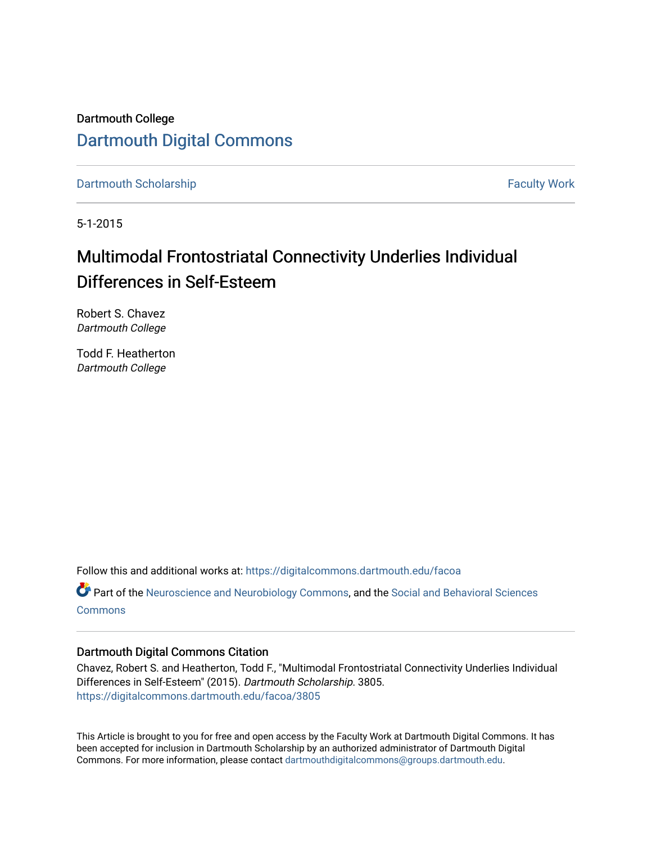Dartmouth College [Dartmouth Digital Commons](https://digitalcommons.dartmouth.edu/) 

[Dartmouth Scholarship](https://digitalcommons.dartmouth.edu/facoa) Faculty Work

5-1-2015

# Multimodal Frontostriatal Connectivity Underlies Individual Differences in Self-Esteem

Robert S. Chavez Dartmouth College

Todd F. Heatherton Dartmouth College

Follow this and additional works at: [https://digitalcommons.dartmouth.edu/facoa](https://digitalcommons.dartmouth.edu/facoa?utm_source=digitalcommons.dartmouth.edu%2Ffacoa%2F3805&utm_medium=PDF&utm_campaign=PDFCoverPages)

Part of the [Neuroscience and Neurobiology Commons,](http://network.bepress.com/hgg/discipline/55?utm_source=digitalcommons.dartmouth.edu%2Ffacoa%2F3805&utm_medium=PDF&utm_campaign=PDFCoverPages) and the [Social and Behavioral Sciences](http://network.bepress.com/hgg/discipline/316?utm_source=digitalcommons.dartmouth.edu%2Ffacoa%2F3805&utm_medium=PDF&utm_campaign=PDFCoverPages) **[Commons](http://network.bepress.com/hgg/discipline/316?utm_source=digitalcommons.dartmouth.edu%2Ffacoa%2F3805&utm_medium=PDF&utm_campaign=PDFCoverPages)** 

# Dartmouth Digital Commons Citation

Chavez, Robert S. and Heatherton, Todd F., "Multimodal Frontostriatal Connectivity Underlies Individual Differences in Self-Esteem" (2015). Dartmouth Scholarship. 3805. [https://digitalcommons.dartmouth.edu/facoa/3805](https://digitalcommons.dartmouth.edu/facoa/3805?utm_source=digitalcommons.dartmouth.edu%2Ffacoa%2F3805&utm_medium=PDF&utm_campaign=PDFCoverPages) 

This Article is brought to you for free and open access by the Faculty Work at Dartmouth Digital Commons. It has been accepted for inclusion in Dartmouth Scholarship by an authorized administrator of Dartmouth Digital Commons. For more information, please contact [dartmouthdigitalcommons@groups.dartmouth.edu](mailto:dartmouthdigitalcommons@groups.dartmouth.edu).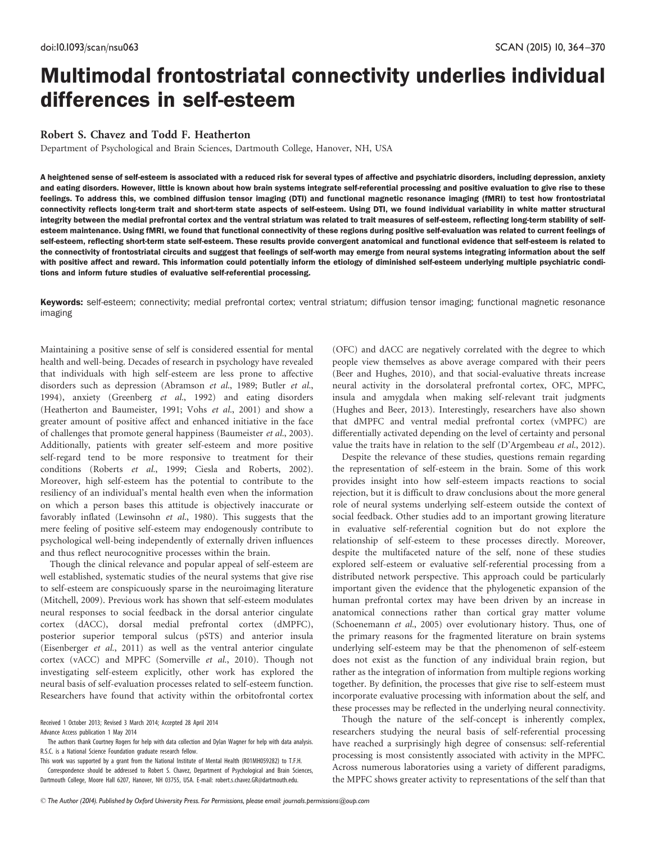# Multimodal frontostriatal connectivity underlies individual differences in self-esteem

# Robert S. Chavez and Todd F. Heatherton

Department of Psychological and Brain Sciences, Dartmouth College, Hanover, NH, USA

A heightened sense of self-esteem is associated with a reduced risk for several types of affective and psychiatric disorders, including depression, anxiety and eating disorders. However, little is known about how brain systems integrate self-referential processing and positive evaluation to give rise to these feelings. To address this, we combined diffusion tensor imaging (DTI) and functional magnetic resonance imaging (fMRI) to test how frontostriatal connectivity reflects long-term trait and short-term state aspects of self-esteem. Using DTI, we found individual variability in white matter structural integrity between the medial prefrontal cortex and the ventral striatum was related to trait measures of self-esteem, reflecting long-term stability of selfesteem maintenance. Using fMRI, we found that functional connectivity of these regions during positive self-evaluation was related to current feelings of self-esteem, reflecting short-term state self-esteem. These results provide convergent anatomical and functional evidence that self-esteem is related to the connectivity of frontostriatal circuits and suggest that feelings of self-worth may emerge from neural systems integrating information about the self with positive affect and reward. This information could potentially inform the etiology of diminished self-esteem underlying multiple psychiatric conditions and inform future studies of evaluative self-referential processing.

Keywords: self-esteem; connectivity; medial prefrontal cortex; ventral striatum; diffusion tensor imaging; functional magnetic resonance imaging

Maintaining a positive sense of self is considered essential for mental health and well-being. Decades of research in psychology have revealed that individuals with high self-esteem are less prone to affective disorders such as depression [\(Abramson](#page-6-0) et al., 1989; [Butler](#page-6-0) et al., [1994](#page-6-0)), anxiety ([Greenberg](#page-6-0) et al., 1992) and eating disorders [\(Heatherton and Baumeister, 1991](#page-6-0); Vohs et al.[, 2001](#page-7-0)) and show a greater amount of positive affect and enhanced initiative in the face of challenges that promote general happiness [\(Baumeister](#page-6-0) et al., 2003). Additionally, patients with greater self-esteem and more positive self-regard tend to be more responsive to treatment for their conditions [\(Roberts](#page-6-0) et al., 1999; [Ciesla and Roberts, 2002](#page-6-0)). Moreover, high self-esteem has the potential to contribute to the resiliency of an individual's mental health even when the information on which a person bases this attitude is objectively inaccurate or favorably inflated [\(Lewinsohn](#page-6-0) et al., 1980). This suggests that the mere feeling of positive self-esteem may endogenously contribute to psychological well-being independently of externally driven influences and thus reflect neurocognitive processes within the brain.

Though the clinical relevance and popular appeal of self-esteem are well established, systematic studies of the neural systems that give rise to self-esteem are conspicuously sparse in the neuroimaging literature [\(Mitchell, 2009](#page-6-0)). Previous work has shown that self-esteem modulates neural responses to social feedback in the dorsal anterior cingulate cortex (dACC), dorsal medial prefrontal cortex (dMPFC), posterior superior temporal sulcus (pSTS) and anterior insula [\(Eisenberger](#page-6-0) et al., 2011) as well as the ventral anterior cingulate cortex (vACC) and MPFC ([Somerville](#page-7-0) et al., 2010). Though not investigating self-esteem explicitly, other work has explored the neural basis of self-evaluation processes related to self-esteem function. Researchers have found that activity within the orbitofrontal cortex

Received 1 October 2013; Revised 3 March 2014; Accepted 28 April 2014 Advance Access publication 1 May 2014

This work was supported by a grant from the National Institute of Mental Health (R01MH059282) to T.F.H. Correspondence should be addressed to Robert S. Chavez, Department of Psychological and Brain Sciences, Dartmouth College, Moore Hall 6207, Hanover, NH 03755, USA. E-mail: robert.s.chavez.GR@dartmouth.edu.

[\(Beer and Hughes, 2010\)](#page-6-0), and that social-evaluative threats increase neural activity in the dorsolateral prefrontal cortex, OFC, MPFC, insula and amygdala when making self-relevant trait judgments [\(Hughes and Beer, 2013\)](#page-6-0). Interestingly, researchers have also shown that dMPFC and ventral medial prefrontal cortex (vMPFC) are differentially activated depending on the level of certainty and personal value the traits have in relation to the self [\(D'Argembeau](#page-6-0) et al., 2012). Despite the relevance of these studies, questions remain regarding

(OFC) and dACC are negatively correlated with the degree to which people view themselves as above average compared with their peers

the representation of self-esteem in the brain. Some of this work provides insight into how self-esteem impacts reactions to social rejection, but it is difficult to draw conclusions about the more general role of neural systems underlying self-esteem outside the context of social feedback. Other studies add to an important growing literature in evaluative self-referential cognition but do not explore the relationship of self-esteem to these processes directly. Moreover, despite the multifaceted nature of the self, none of these studies explored self-esteem or evaluative self-referential processing from a distributed network perspective. This approach could be particularly important given the evidence that the phylogenetic expansion of the human prefrontal cortex may have been driven by an increase in anatomical connections rather than cortical gray matter volume [\(Schoenemann](#page-6-0) et al., 2005) over evolutionary history. Thus, one of the primary reasons for the fragmented literature on brain systems underlying self-esteem may be that the phenomenon of self-esteem does not exist as the function of any individual brain region, but rather as the integration of information from multiple regions working together. By definition, the processes that give rise to self-esteem must incorporate evaluative processing with information about the self, and these processes may be reflected in the underlying neural connectivity.

Though the nature of the self-concept is inherently complex, researchers studying the neural basis of self-referential processing have reached a surprisingly high degree of consensus: self-referential processing is most consistently associated with activity in the MPFC. Across numerous laboratories using a variety of different paradigms, the MPFC shows greater activity to representations of the self than that

The authors thank Courtney Rogers for help with data collection and Dylan Wagner for help with data analysis. R.S.C. is a National Science Foundation graduate research fellow.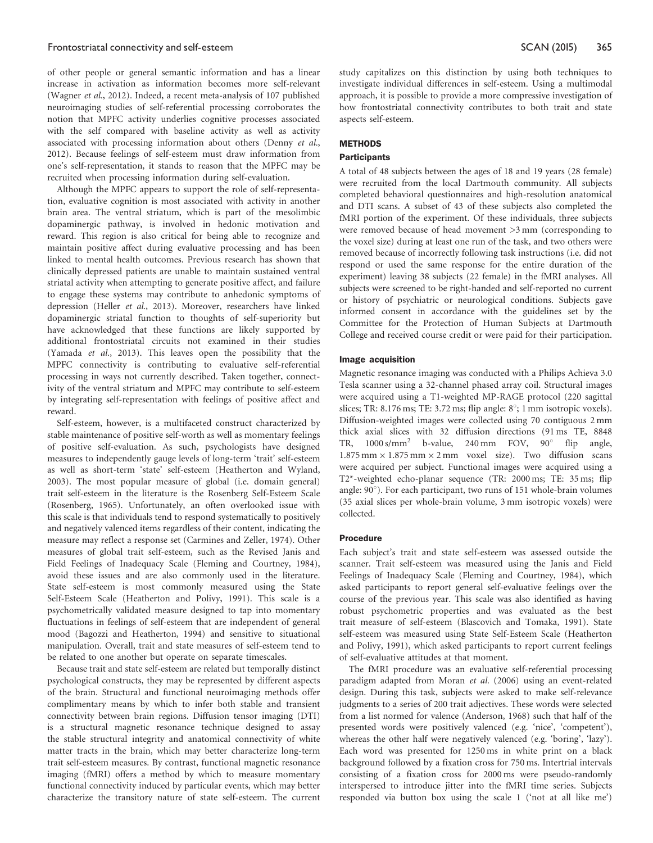#### Frontostriatal connectivity and self-esteem SCAN (2015) 365

of other people or general semantic information and has a linear increase in activation as information becomes more self-relevant ([Wagner](#page-7-0) et al., 2012). Indeed, a recent meta-analysis of 107 published neuroimaging studies of self-referential processing corroborates the notion that MPFC activity underlies cognitive processes associated with the self compared with baseline activity as well as activity associated with processing information about others ([Denny](#page-6-0) et al., [2012\)](#page-6-0). Because feelings of self-esteem must draw information from one's self-representation, it stands to reason that the MPFC may be recruited when processing information during self-evaluation.

Although the MPFC appears to support the role of self-representation, evaluative cognition is most associated with activity in another brain area. The ventral striatum, which is part of the mesolimbic dopaminergic pathway, is involved in hedonic motivation and reward. This region is also critical for being able to recognize and maintain positive affect during evaluative processing and has been linked to mental health outcomes. Previous research has shown that clinically depressed patients are unable to maintain sustained ventral striatal activity when attempting to generate positive affect, and failure to engage these systems may contribute to anhedonic symptoms of depression (Heller et al.[, 2013\)](#page-6-0). Moreover, researchers have linked dopaminergic striatal function to thoughts of self-superiority but have acknowledged that these functions are likely supported by additional frontostriatal circuits not examined in their studies ([Yamada](#page-7-0) et al., 2013). This leaves open the possibility that the MPFC connectivity is contributing to evaluative self-referential processing in ways not currently described. Taken together, connectivity of the ventral striatum and MPFC may contribute to self-esteem by integrating self-representation with feelings of positive affect and reward.

Self-esteem, however, is a multifaceted construct characterized by stable maintenance of positive self-worth as well as momentary feelings of positive self-evaluation. As such, psychologists have designed measures to independently gauge levels of long-term 'trait' self-esteem as well as short-term 'state' self-esteem [\(Heatherton and Wyland,](#page-6-0) [2003\)](#page-6-0). The most popular measure of global (i.e. domain general) trait self-esteem in the literature is the Rosenberg Self-Esteem Scale ([Rosenberg, 1965\)](#page-6-0). Unfortunately, an often overlooked issue with this scale is that individuals tend to respond systematically to positively and negatively valenced items regardless of their content, indicating the measure may reflect a response set [\(Carmines and Zeller, 1974](#page-6-0)). Other measures of global trait self-esteem, such as the Revised Janis and Field Feelings of Inadequacy Scale [\(Fleming and Courtney, 1984\)](#page-6-0), avoid these issues and are also commonly used in the literature. State self-esteem is most commonly measured using the State Self-Esteem Scale [\(Heatherton and Polivy, 1991](#page-6-0)). This scale is a psychometrically validated measure designed to tap into momentary fluctuations in feelings of self-esteem that are independent of general mood ([Bagozzi and Heatherton, 1994](#page-6-0)) and sensitive to situational manipulation. Overall, trait and state measures of self-esteem tend to be related to one another but operate on separate timescales.

Because trait and state self-esteem are related but temporally distinct psychological constructs, they may be represented by different aspects of the brain. Structural and functional neuroimaging methods offer complimentary means by which to infer both stable and transient connectivity between brain regions. Diffusion tensor imaging (DTI) is a structural magnetic resonance technique designed to assay the stable structural integrity and anatomical connectivity of white matter tracts in the brain, which may better characterize long-term trait self-esteem measures. By contrast, functional magnetic resonance imaging (fMRI) offers a method by which to measure momentary functional connectivity induced by particular events, which may better characterize the transitory nature of state self-esteem. The current study capitalizes on this distinction by using both techniques to investigate individual differences in self-esteem. Using a multimodal approach, it is possible to provide a more compressive investigation of how frontostriatal connectivity contributes to both trait and state aspects self-esteem.

# **METHODS**

# **Participants**

A total of 48 subjects between the ages of 18 and 19 years (28 female) were recruited from the local Dartmouth community. All subjects completed behavioral questionnaires and high-resolution anatomical and DTI scans. A subset of 43 of these subjects also completed the fMRI portion of the experiment. Of these individuals, three subjects were removed because of head movement >3 mm (corresponding to the voxel size) during at least one run of the task, and two others were removed because of incorrectly following task instructions (i.e. did not respond or used the same response for the entire duration of the experiment) leaving 38 subjects (22 female) in the fMRI analyses. All subjects were screened to be right-handed and self-reported no current or history of psychiatric or neurological conditions. Subjects gave informed consent in accordance with the guidelines set by the Committee for the Protection of Human Subjects at Dartmouth College and received course credit or were paid for their participation.

#### Image acquisition

Magnetic resonance imaging was conducted with a Philips Achieva 3.0 Tesla scanner using a 32-channel phased array coil. Structural images were acquired using a T1-weighted MP-RAGE protocol (220 sagittal slices; TR: 8.176 ms; TE: 3.72 ms; flip angle:  $8^\circ$ ; 1 mm isotropic voxels). Diffusion-weighted images were collected using 70 contiguous 2 mm thick axial slices with 32 diffusion directions (91 ms TE, 8848 TR,  $1000 \text{ s/mm}^2$  b-value,  $240 \text{ mm}$  FOV,  $90^\circ$  flip angle,  $1.875$  mm  $\times$  1.875 mm  $\times$  2 mm voxel size). Two diffusion scans were acquired per subject. Functional images were acquired using a T2\*-weighted echo-planar sequence (TR: 2000 ms; TE: 35 ms; flip angle:  $90^\circ$ ). For each participant, two runs of 151 whole-brain volumes (35 axial slices per whole-brain volume, 3 mm isotropic voxels) were collected.

#### Procedure

Each subject's trait and state self-esteem was assessed outside the scanner. Trait self-esteem was measured using the Janis and Field Feelings of Inadequacy Scale ([Fleming and Courtney, 1984\)](#page-6-0), which asked participants to report general self-evaluative feelings over the course of the previous year. This scale was also identified as having robust psychometric properties and was evaluated as the best trait measure of self-esteem [\(Blascovich and Tomaka, 1991\)](#page-6-0). State self-esteem was measured using State Self-Esteem Scale ([Heatherton](#page-6-0) [and Polivy, 1991\)](#page-6-0), which asked participants to report current feelings of self-evaluative attitudes at that moment.

The fMRI procedure was an evaluative self-referential processing paradigm adapted from [Moran](#page-6-0) et al. (2006) using an event-related design. During this task, subjects were asked to make self-relevance judgments to a series of 200 trait adjectives. These words were selected from a list normed for valence ([Anderson, 1968\)](#page-6-0) such that half of the presented words were positively valenced (e.g. 'nice', 'competent'), whereas the other half were negatively valenced (e.g. 'boring', 'lazy'). Each word was presented for 1250 ms in white print on a black background followed by a fixation cross for 750 ms. Intertrial intervals consisting of a fixation cross for 2000 ms were pseudo-randomly interspersed to introduce jitter into the fMRI time series. Subjects responded via button box using the scale 1 ('not at all like me')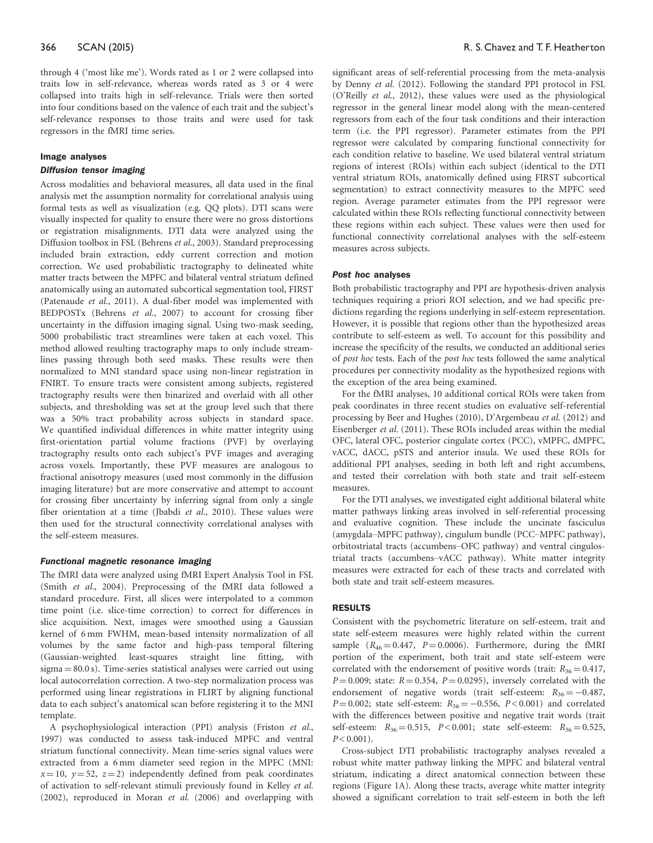through 4 ('most like me'). Words rated as 1 or 2 were collapsed into traits low in self-relevance, whereas words rated as 3 or 4 were collapsed into traits high in self-relevance. Trials were then sorted into four conditions based on the valence of each trait and the subject's self-relevance responses to those traits and were used for task regressors in the fMRI time series.

#### Image analyses

### Diffusion tensor imaging

Across modalities and behavioral measures, all data used in the final analysis met the assumption normality for correlational analysis using formal tests as well as visualization (e.g. QQ plots). DTI scans were visually inspected for quality to ensure there were no gross distortions or registration misalignments. DTI data were analyzed using the Diffusion toolbox in FSL ([Behrens](#page-6-0) et al., 2003). Standard preprocessing included brain extraction, eddy current correction and motion correction. We used probabilistic tractography to delineated white matter tracts between the MPFC and bilateral ventral striatum defined anatomically using an automated subcortical segmentation tool, FIRST [\(Patenaude](#page-6-0) et al., 2011). A dual-fiber model was implemented with BEDPOSTx [\(Behrens](#page-6-0) et al., 2007) to account for crossing fiber uncertainty in the diffusion imaging signal. Using two-mask seeding, 5000 probabilistic tract streamlines were taken at each voxel. This method allowed resulting tractography maps to only include streamlines passing through both seed masks. These results were then normalized to MNI standard space using non-linear registration in FNIRT. To ensure tracts were consistent among subjects, registered tractography results were then binarized and overlaid with all other subjects, and thresholding was set at the group level such that there was a 50% tract probability across subjects in standard space. We quantified individual differences in white matter integrity using first-orientation partial volume fractions (PVF) by overlaying tractography results onto each subject's PVF images and averaging across voxels. Importantly, these PVF measures are analogous to fractional anisotropy measures (used most commonly in the diffusion imaging literature) but are more conservative and attempt to account for crossing fiber uncertainty by inferring signal from only a single fiber orientation at a time [\(Jbabdi](#page-6-0) et al., 2010). These values were then used for the structural connectivity correlational analyses with the self-esteem measures.

#### Functional magnetic resonance imaging

The fMRI data were analyzed using fMRI Expert Analysis Tool in FSL (Smith et al.[, 2004](#page-7-0)). Preprocessing of the fMRI data followed a standard procedure. First, all slices were interpolated to a common time point (i.e. slice-time correction) to correct for differences in slice acquisition. Next, images were smoothed using a Gaussian kernel of 6 mm FWHM, mean-based intensity normalization of all volumes by the same factor and high-pass temporal filtering (Gaussian-weighted least-squares straight line fitting, with  $sigma = 80.0 s$ . Time-series statistical analyses were carried out using local autocorrelation correction. A two-step normalization process was performed using linear registrations in FLIRT by aligning functional data to each subject's anatomical scan before registering it to the MNI template.

A psychophysiological interaction (PPI) analysis ([Friston](#page-6-0) et al., [1997](#page-6-0)) was conducted to assess task-induced MPFC and ventral striatum functional connectivity. Mean time-series signal values were extracted from a 6 mm diameter seed region in the MPFC (MNI:  $x = 10$ ,  $y = 52$ ,  $z = 2$ ) independently defined from peak coordinates of activation to self-relevant stimuli previously found in [Kelley](#page-6-0) et al. [\(2002\),](#page-6-0) reproduced in [Moran](#page-6-0) et al. (2006) and overlapping with significant areas of self-referential processing from the meta-analysis by [Denny](#page-6-0) et al. (2012). Following the standard PPI protocol in FSL [\(O'Reilly](#page-6-0) et al., 2012), these values were used as the physiological regressor in the general linear model along with the mean-centered regressors from each of the four task conditions and their interaction term (i.e. the PPI regressor). Parameter estimates from the PPI regressor were calculated by comparing functional connectivity for each condition relative to baseline. We used bilateral ventral striatum regions of interest (ROIs) within each subject (identical to the DTI ventral striatum ROIs, anatomically defined using FIRST subcortical segmentation) to extract connectivity measures to the MPFC seed region. Average parameter estimates from the PPI regressor were calculated within these ROIs reflecting functional connectivity between these regions within each subject. These values were then used for functional connectivity correlational analyses with the self-esteem measures across subjects.

#### Post hoc analyses

Both probabilistic tractography and PPI are hypothesis-driven analysis techniques requiring a priori ROI selection, and we had specific predictions regarding the regions underlying in self-esteem representation. However, it is possible that regions other than the hypothesized areas contribute to self-esteem as well. To account for this possibility and increase the specificity of the results, we conducted an additional series of post hoc tests. Each of the post hoc tests followed the same analytical procedures per connectivity modality as the hypothesized regions with the exception of the area being examined.

For the fMRI analyses, 10 additional cortical ROIs were taken from peak coordinates in three recent studies on evaluative self-referential processing by [Beer and Hughes \(2010\)](#page-6-0), [D'Argembeau](#page-6-0) et al. (2012) and [Eisenberger](#page-6-0) et al. (2011). These ROIs included areas within the medial OFC, lateral OFC, posterior cingulate cortex (PCC), vMPFC, dMPFC, vACC, dACC, pSTS and anterior insula. We used these ROIs for additional PPI analyses, seeding in both left and right accumbens, and tested their correlation with both state and trait self-esteem measures.

For the DTI analyses, we investigated eight additional bilateral white matter pathways linking areas involved in self-referential processing and evaluative cognition. These include the uncinate fasciculus (amygdala–MPFC pathway), cingulum bundle (PCC–MPFC pathway), orbitostriatal tracts (accumbens–OFC pathway) and ventral cingulostriatal tracts (accumbens–vACC pathway). White matter integrity measures were extracted for each of these tracts and correlated with both state and trait self-esteem measures.

#### RESULTS

Consistent with the psychometric literature on self-esteem, trait and state self-esteem measures were highly related within the current sample  $(R_{46} = 0.447, P = 0.0006)$ . Furthermore, during the fMRI portion of the experiment, both trait and state self-esteem were correlated with the endorsement of positive words (trait:  $R_{36} = 0.417$ ,  $P = 0.009$ ; state:  $R = 0.354$ ,  $P = 0.0295$ ), inversely correlated with the endorsement of negative words (trait self-esteem:  $R_{36} = -0.487$ ,  $P = 0.002$ ; state self-esteem:  $R_{36} = -0.556$ ,  $P < 0.001$ ) and correlated with the differences between positive and negative trait words (trait self-esteem:  $R_{36} = 0.515$ ,  $P < 0.001$ ; state self-esteem:  $R_{36} = 0.525$ ,  $P < 0.001$ ).

Cross-subject DTI probabilistic tractography analyses revealed a robust white matter pathway linking the MPFC and bilateral ventral striatum, indicating a direct anatomical connection between these regions [\(Figure 1](#page-5-0)A). Along these tracts, average white matter integrity showed a significant correlation to trait self-esteem in both the left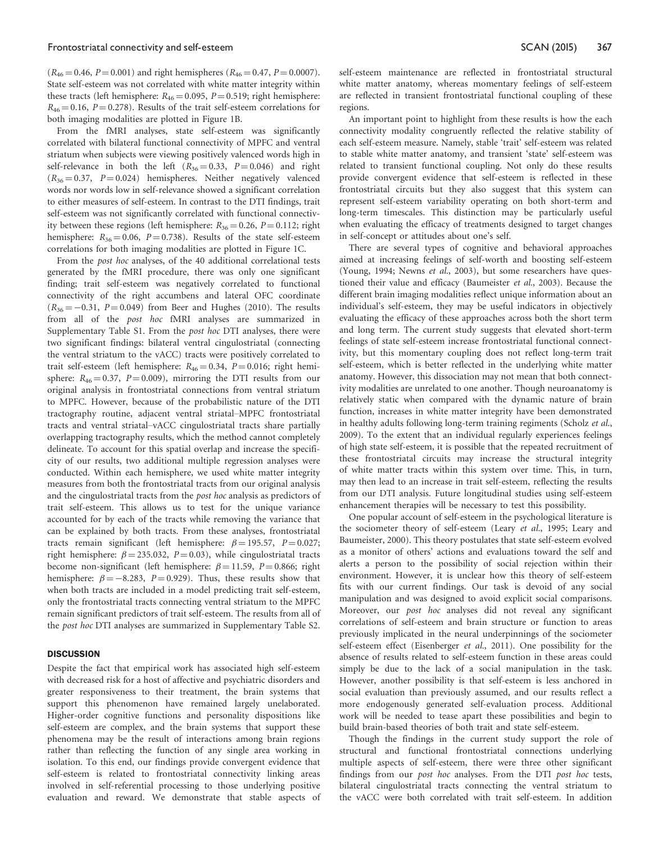$(R_{46} = 0.46, P = 0.001)$  and right hemispheres  $(R_{46} = 0.47, P = 0.0007)$ . State self-esteem was not correlated with white matter integrity within these tracts (left hemisphere:  $R_{46} = 0.095$ ,  $P = 0.519$ ; right hemisphere:  $R_{46} = 0.16$ ,  $P = 0.278$ ). Results of the trait self-esteem correlations for both imaging modalities are plotted in [Figure 1](#page-5-0)B.

From the fMRI analyses, state self-esteem was significantly correlated with bilateral functional connectivity of MPFC and ventral striatum when subjects were viewing positively valenced words high in self-relevance in both the left  $(R_{36} = 0.33, P = 0.046)$  and right  $(R_{36} = 0.37, P = 0.024)$  hemispheres. Neither negatively valenced words nor words low in self-relevance showed a significant correlation to either measures of self-esteem. In contrast to the DTI findings, trait self-esteem was not significantly correlated with functional connectivity between these regions (left hemisphere:  $R_{36} = 0.26$ ,  $P = 0.112$ ; right hemisphere:  $R_{36} = 0.06$ ,  $P = 0.738$ ). Results of the state self-esteem correlations for both imaging modalities are plotted in [Figure 1](#page-5-0)C.

From the post hoc analyses, of the 40 additional correlational tests generated by the fMRI procedure, there was only one significant finding; trait self-esteem was negatively correlated to functional connectivity of the right accumbens and lateral OFC coordinate  $(R_{36} = -0.31, P = 0.049)$  from [Beer and Hughes \(2010\)](#page-6-0). The results from all of the post hoc fMRI analyses are summarized in [Supplementary Table S1.](http://scan.oxfordjournals.org/lookup/suppl/doi:10.1093/scan/nsu063/-/DC1) From the post hoc DTI analyses, there were two significant findings: bilateral ventral cingulostriatal (connecting the ventral striatum to the vACC) tracts were positively correlated to trait self-esteem (left hemisphere:  $R_{46} = 0.34$ ,  $P = 0.016$ ; right hemisphere:  $R_{46} = 0.37$ ,  $P = 0.009$ ), mirroring the DTI results from our original analysis in frontostriatal connections from ventral striatum to MPFC. However, because of the probabilistic nature of the DTI tractography routine, adjacent ventral striatal–MPFC frontostriatal tracts and ventral striatal–vACC cingulostriatal tracts share partially overlapping tractography results, which the method cannot completely delineate. To account for this spatial overlap and increase the specificity of our results, two additional multiple regression analyses were conducted. Within each hemisphere, we used white matter integrity measures from both the frontostriatal tracts from our original analysis and the cingulostriatal tracts from the post hoc analysis as predictors of trait self-esteem. This allows us to test for the unique variance accounted for by each of the tracts while removing the variance that can be explained by both tracts. From these analyses, frontostriatal tracts remain significant (left hemisphere:  $\beta = 195.57$ ,  $P = 0.027$ ; right hemisphere:  $\beta = 235.032$ ,  $P = 0.03$ ), while cingulostriatal tracts become non-significant (left hemisphere:  $\beta = 11.59$ ,  $P = 0.866$ ; right hemisphere:  $\beta = -8.283$ ,  $P = 0.929$ ). Thus, these results show that when both tracts are included in a model predicting trait self-esteem, only the frontostriatal tracts connecting ventral striatum to the MPFC remain significant predictors of trait self-esteem. The results from all of the post hoc DTI analyses are summarized in [Supplementary Table S2](http://scan.oxfordjournals.org/lookup/suppl/doi:10.1093/scan/nsu063/-/DC1).

#### **DISCUSSION**

Despite the fact that empirical work has associated high self-esteem with decreased risk for a host of affective and psychiatric disorders and greater responsiveness to their treatment, the brain systems that support this phenomenon have remained largely unelaborated. Higher-order cognitive functions and personality dispositions like self-esteem are complex, and the brain systems that support these phenomena may be the result of interactions among brain regions rather than reflecting the function of any single area working in isolation. To this end, our findings provide convergent evidence that self-esteem is related to frontostriatal connectivity linking areas involved in self-referential processing to those underlying positive evaluation and reward. We demonstrate that stable aspects of self-esteem maintenance are reflected in frontostriatal structural white matter anatomy, whereas momentary feelings of self-esteem are reflected in transient frontostriatal functional coupling of these regions.

An important point to highlight from these results is how the each connectivity modality congruently reflected the relative stability of each self-esteem measure. Namely, stable 'trait' self-esteem was related to stable white matter anatomy, and transient 'state' self-esteem was related to transient functional coupling. Not only do these results provide convergent evidence that self-esteem is reflected in these frontostriatal circuits but they also suggest that this system can represent self-esteem variability operating on both short-term and long-term timescales. This distinction may be particularly useful when evaluating the efficacy of treatments designed to target changes in self-concept or attitudes about one's self.

There are several types of cognitive and behavioral approaches aimed at increasing feelings of self-worth and boosting self-esteem ([Young, 1994](#page-7-0); [Newns](#page-6-0) et al., 2003), but some researchers have questioned their value and efficacy ([Baumeister](#page-6-0) et al., 2003). Because the different brain imaging modalities reflect unique information about an individual's self-esteem, they may be useful indicators in objectively evaluating the efficacy of these approaches across both the short term and long term. The current study suggests that elevated short-term feelings of state self-esteem increase frontostriatal functional connectivity, but this momentary coupling does not reflect long-term trait self-esteem, which is better reflected in the underlying white matter anatomy. However, this dissociation may not mean that both connectivity modalities are unrelated to one another. Though neuroanatomy is relatively static when compared with the dynamic nature of brain function, increases in white matter integrity have been demonstrated in healthy adults following long-term training regiments ([Scholz](#page-6-0) et al., [2009\)](#page-6-0). To the extent that an individual regularly experiences feelings of high state self-esteem, it is possible that the repeated recruitment of these frontostriatal circuits may increase the structural integrity of white matter tracts within this system over time. This, in turn, may then lead to an increase in trait self-esteem, reflecting the results from our DTI analysis. Future longitudinal studies using self-esteem enhancement therapies will be necessary to test this possibility.

One popular account of self-esteem in the psychological literature is the sociometer theory of self-esteem (Leary et al.[, 1995](#page-6-0); [Leary and](#page-6-0) [Baumeister, 2000](#page-6-0)). This theory postulates that state self-esteem evolved as a monitor of others' actions and evaluations toward the self and alerts a person to the possibility of social rejection within their environment. However, it is unclear how this theory of self-esteem fits with our current findings. Our task is devoid of any social manipulation and was designed to avoid explicit social comparisons. Moreover, our post hoc analyses did not reveal any significant correlations of self-esteem and brain structure or function to areas previously implicated in the neural underpinnings of the sociometer self-esteem effect [\(Eisenberger](#page-6-0) et al., 2011). One possibility for the absence of results related to self-esteem function in these areas could simply be due to the lack of a social manipulation in the task. However, another possibility is that self-esteem is less anchored in social evaluation than previously assumed, and our results reflect a more endogenously generated self-evaluation process. Additional work will be needed to tease apart these possibilities and begin to build brain-based theories of both trait and state self-esteem.

Though the findings in the current study support the role of structural and functional frontostriatal connections underlying multiple aspects of self-esteem, there were three other significant findings from our post hoc analyses. From the DTI post hoc tests, bilateral cingulostriatal tracts connecting the ventral striatum to the vACC were both correlated with trait self-esteem. In addition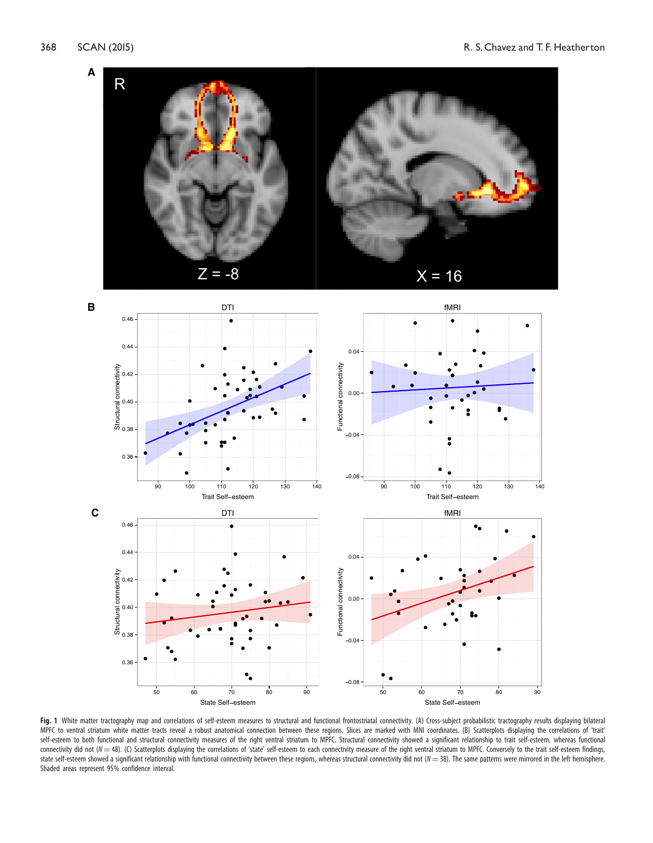<span id="page-5-0"></span>

Fig. 1 White matter tractography map and correlations of self-esteem measures to structural and functional frontostriatal connectivity. (A) Cross-subject probabilistic tractography results displaying bilateral MPFC to ventral striatum white matter tracts reveal a robust anatomical connection between these regions. Slices are marked with MNI coordinates. (B) Scatterplots displaying the correlations of 'trait' self-esteem to both functional and structural connectivity measures of the right ventral striatum to MPFC. Structural connectivity showed a significant relationship to trait self-esteem, whereas functional connectivity did not (N = 48). (C) Scatterplots displaying the correlations of 'state' self-esteem to each connectivity measure of the right ventral striatum to MPFC. Conversely to the trait self-esteem findings, state self-esteem showed a significant relationship with functional connectivity between these regions, whereas structural connectivity did not  $(N = 38)$ . The same patterns were mirrored in the left hemisphere. Shaded areas represent 95% confidence interval.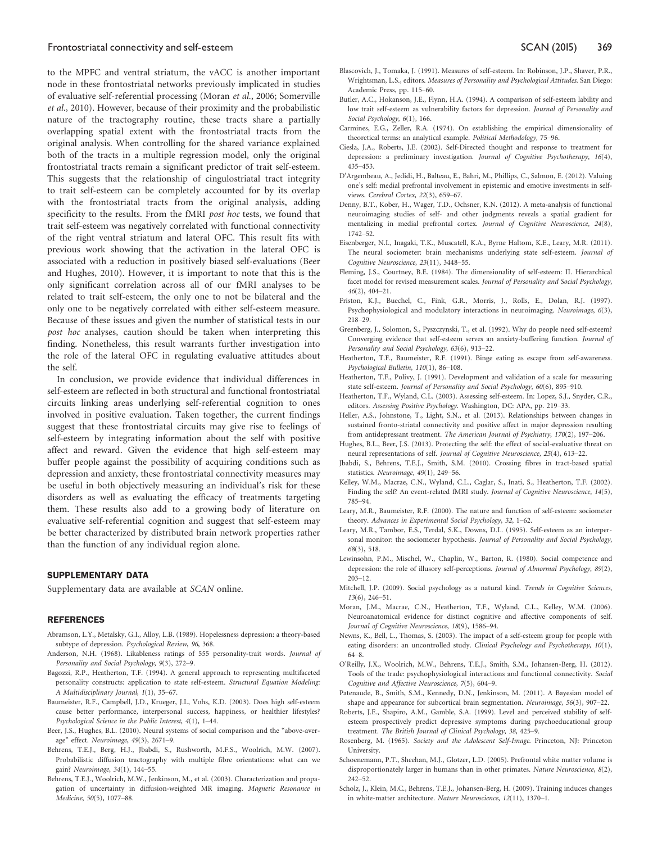#### <span id="page-6-0"></span>Frontostriatal connectivity and self-esteem SCAN (2015) 369

to the MPFC and ventral striatum, the vACC is another important node in these frontostriatal networks previously implicated in studies of evaluative self-referential processing (Moran et al., 2006; [Somerville](#page-7-0) et al.[, 2010](#page-7-0)). However, because of their proximity and the probabilistic nature of the tractography routine, these tracts share a partially overlapping spatial extent with the frontostriatal tracts from the original analysis. When controlling for the shared variance explained both of the tracts in a multiple regression model, only the original frontostriatal tracts remain a significant predictor of trait self-esteem. This suggests that the relationship of cingulostriatal tract integrity to trait self-esteem can be completely accounted for by its overlap with the frontostriatal tracts from the original analysis, adding specificity to the results. From the fMRI post hoc tests, we found that trait self-esteem was negatively correlated with functional connectivity of the right ventral striatum and lateral OFC. This result fits with previous work showing that the activation in the lateral OFC is associated with a reduction in positively biased self-evaluations (Beer and Hughes, 2010). However, it is important to note that this is the only significant correlation across all of our fMRI analyses to be related to trait self-esteem, the only one to not be bilateral and the only one to be negatively correlated with either self-esteem measure. Because of these issues and given the number of statistical tests in our post hoc analyses, caution should be taken when interpreting this finding. Nonetheless, this result warrants further investigation into the role of the lateral OFC in regulating evaluative attitudes about the self.

In conclusion, we provide evidence that individual differences in self-esteem are reflected in both structural and functional frontostriatal circuits linking areas underlying self-referential cognition to ones involved in positive evaluation. Taken together, the current findings suggest that these frontostriatal circuits may give rise to feelings of self-esteem by integrating information about the self with positive affect and reward. Given the evidence that high self-esteem may buffer people against the possibility of acquiring conditions such as depression and anxiety, these frontostriatal connectivity measures may be useful in both objectively measuring an individual's risk for these disorders as well as evaluating the efficacy of treatments targeting them. These results also add to a growing body of literature on evaluative self-referential cognition and suggest that self-esteem may be better characterized by distributed brain network properties rather than the function of any individual region alone.

#### SUPPLEMENTARY DATA

[Supplementary data](http://scan.oxfordjournals.org/lookup/suppl/doi:10.1093/scan/nsu063/-/DC1) are available at SCAN online.

#### **REFERENCES**

- Abramson, L.Y., Metalsky, G.I., Alloy, L.B. (1989). Hopelessness depression: a theory-based subtype of depression. Psychological Review, 96, 368.
- Anderson, N.H. (1968). Likableness ratings of 555 personality-trait words. Journal of Personality and Social Psychology, 9(3), 272–9.
- Bagozzi, R.P., Heatherton, T.F. (1994). A general approach to representing multifaceted personality constructs: application to state self-esteem. Structural Equation Modeling: A Multidisciplinary Journal, 1(1), 35–67.
- Baumeister, R.F., Campbell, J.D., Krueger, J.I., Vohs, K.D. (2003). Does high self-esteem cause better performance, interpersonal success, happiness, or healthier lifestyles? Psychological Science in the Public Interest, 4(1), 1–44.
- Beer, J.S., Hughes, B.L. (2010). Neural systems of social comparison and the "above-average" effect. Neuroimage, 49(3), 2671–9.
- Behrens, T.E.J., Berg, H.J., Jbabdi, S., Rushworth, M.F.S., Woolrich, M.W. (2007). Probabilistic diffusion tractography with multiple fibre orientations: what can we gain? Neuroimage, 34(1), 144–55.
- Behrens, T.E.J., Woolrich, M.W., Jenkinson, M., et al. (2003). Characterization and propagation of uncertainty in diffusion-weighted MR imaging. Magnetic Resonance in Medicine, 50(5), 1077–88.
- Blascovich, J., Tomaka, J. (1991). Measures of self-esteem. In: Robinson, J.P., Shaver, P.R., Wrightsman, L.S., editors. Measures of Personality and Psychological Attitudes. San Diego: Academic Press, pp. 115–60.
- Butler, A.C., Hokanson, J.E., Flynn, H.A. (1994). A comparison of self-esteem lability and low trait self-esteem as vulnerability factors for depression. Journal of Personality and Social Psychology, 6(1), 166.
- Carmines, E.G., Zeller, R.A. (1974). On establishing the empirical dimensionality of theoretical terms: an analytical example. Political Methodology, 75–96.
- Ciesla, J.A., Roberts, J.E. (2002). Self-Directed thought and response to treatment for depression: a preliminary investigation. Journal of Cognitive Psychotherapy, 16(4), 435–453.
- D'Argembeau, A., Jedidi, H., Balteau, E., Bahri, M., Phillips, C., Salmon, E. (2012). Valuing one's self: medial prefrontal involvement in epistemic and emotive investments in selfviews. Cerebral Cortex, 22(3), 659–67.
- Denny, B.T., Kober, H., Wager, T.D., Ochsner, K.N. (2012). A meta-analysis of functional neuroimaging studies of self- and other judgments reveals a spatial gradient for mentalizing in medial prefrontal cortex. Journal of Cognitive Neuroscience, 24(8), 1742–52.
- Eisenberger, N.I., Inagaki, T.K., Muscatell, K.A., Byrne Haltom, K.E., Leary, M.R. (2011). The neural sociometer: brain mechanisms underlying state self-esteem. Journal of Cognitive Neuroscience, 23(11), 3448–55.
- Fleming, J.S., Courtney, B.E. (1984). The dimensionality of self-esteem: II. Hierarchical facet model for revised measurement scales. Journal of Personality and Social Psychology, 46(2), 404–21.
- Friston, K.J., Buechel, C., Fink, G.R., Morris, J., Rolls, E., Dolan, R.J. (1997). Psychophysiological and modulatory interactions in neuroimaging. Neuroimage, 6(3), 218–29.
- Greenberg, J., Solomon, S., Pyszczynski, T., et al. (1992). Why do people need self-esteem? Converging evidence that self-esteem serves an anxiety-buffering function. Journal of Personality and Social Psychology, 63(6), 913–22.
- Heatherton, T.F., Baumeister, R.F. (1991). Binge eating as escape from self-awareness. Psychological Bulletin, 110(1), 86–108.
- Heatherton, T.F., Polivy, J. (1991). Development and validation of a scale for measuring state self-esteem. Journal of Personality and Social Psychology, 60(6), 895-910.
- Heatherton, T.F., Wyland, C.L. (2003). Assessing self-esteem. In: Lopez, S.J., Snyder, C.R., editors. Assessing Positive Psychology. Washington, DC: APA, pp. 219–33.
- Heller, A.S., Johnstone, T., Light, S.N., et al. (2013). Relationships between changes in sustained fronto-striatal connectivity and positive affect in major depression resulting from antidepressant treatment. The American Journal of Psychiatry, 170(2), 197-206.
- Hughes, B.L., Beer, J.S. (2013). Protecting the self: the effect of social-evaluative threat on neural representations of self. Journal of Cognitive Neuroscience, 25(4), 613–22.
- Jbabdi, S., Behrens, T.E.J., Smith, S.M. (2010). Crossing fibres in tract-based spatial statistics. Neuroimage, 49(1), 249–56.
- Kelley, W.M., Macrae, C.N., Wyland, C.L., Caglar, S., Inati, S., Heatherton, T.F. (2002). Finding the self? An event-related fMRI study. Journal of Cognitive Neuroscience, 14(5), 785–94.
- Leary, M.R., Baumeister, R.F. (2000). The nature and function of self-esteem: sociometer theory. Advances in Experimental Social Psychology, 32, 1–62.
- Leary, M.R., Tambor, E.S., Terdal, S.K., Downs, D.L. (1995). Self-esteem as an interpersonal monitor: the sociometer hypothesis. Journal of Personality and Social Psychology, 68(3), 518.
- Lewinsohn, P.M., Mischel, W., Chaplin, W., Barton, R. (1980). Social competence and depression: the role of illusory self-perceptions. Journal of Abnormal Psychology, 89(2), 203–12.
- Mitchell, J.P. (2009). Social psychology as a natural kind. Trends in Cognitive Sciences, 13(6), 246–51.
- Moran, J.M., Macrae, C.N., Heatherton, T.F., Wyland, C.L., Kelley, W.M. (2006). Neuroanatomical evidence for distinct cognitive and affective components of self. Journal of Cognitive Neuroscience, 18(9), 1586–94.
- Newns, K., Bell, L., Thomas, S. (2003). The impact of a self-esteem group for people with eating disorders: an uncontrolled study. Clinical Psychology and Psychotherapy, 10(1), 64–8.
- O'Reilly, J.X., Woolrich, M.W., Behrens, T.E.J., Smith, S.M., Johansen-Berg, H. (2012). Tools of the trade: psychophysiological interactions and functional connectivity. Social Cognitive and Affective Neuroscience, 7(5), 604–9.
- Patenaude, B., Smith, S.M., Kennedy, D.N., Jenkinson, M. (2011). A Bayesian model of shape and appearance for subcortical brain segmentation. Neuroimage, 56(3), 907-22.
- Roberts, J.E., Shapiro, A.M., Gamble, S.A. (1999). Level and perceived stability of selfesteem prospectively predict depressive symptoms during psychoeducational group treatment. The British Journal of Clinical Psychology, 38, 425–9.
- Rosenberg, M. (1965). Society and the Adolescent Self-Image. Princeton, NJ: Princeton University.
- Schoenemann, P.T., Sheehan, M.J., Glotzer, L.D. (2005). Prefrontal white matter volume is disproportionately larger in humans than in other primates. Nature Neuroscience, 8(2), 242–52.
- Scholz, J., Klein, M.C., Behrens, T.E.J., Johansen-Berg, H. (2009). Training induces changes in white-matter architecture. Nature Neuroscience, 12(11), 1370–1.